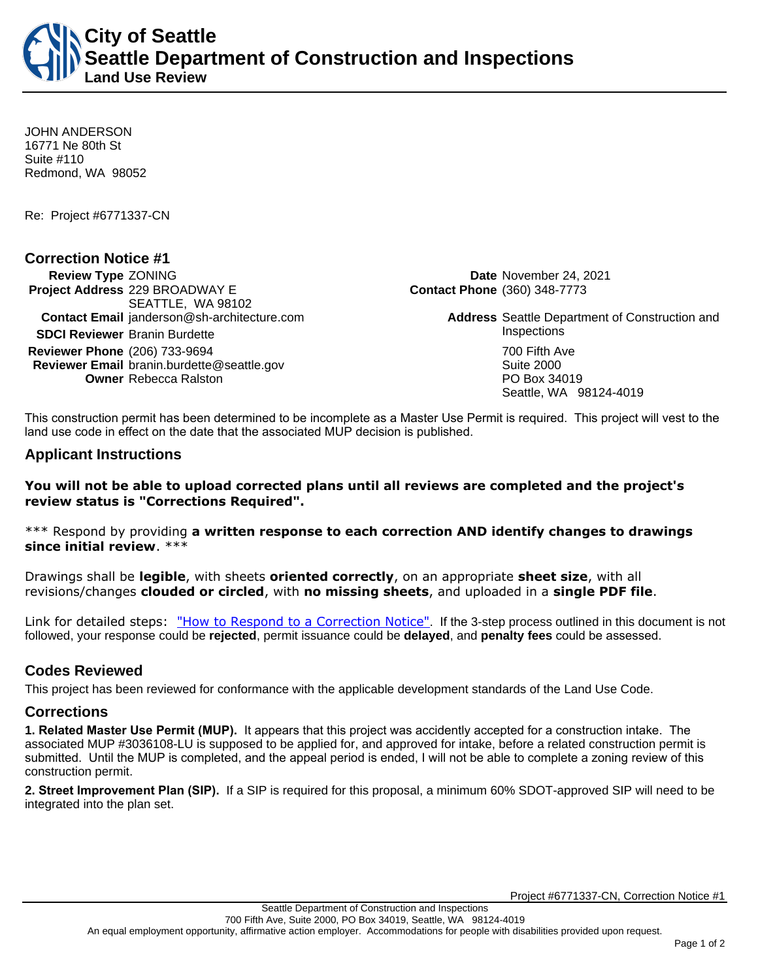**City of Seattle Seattle Department of Construction and Inspections Land Use Review**

JOHN ANDERSON 16771 Ne 80th St Suite #110 Redmond, WA 98052

Re: Project #6771337-CN

## **Correction Notice #1**

**Review Type** ZONING **Date** November 24, 2021 **Project Address** 229 BROADWAY E SEATTLE, WA 98102 **Contact Email** janderson@sh-architecture.com **Address** Seattle Department of Construction and **SDCI Reviewer** Branin Burdette **Inspections Reviewer Phone** (206) 733-9694 **700 Fifth Ave Reviewer Email** branin.burdette@seattle.gov **Suite 2000** Suite 2000 **Owner** Rebecca Ralston **PO Box 34019** 

**Contact Phone** (360) 348-7773

Seattle, WA 98124-4019

This construction permit has been determined to be incomplete as a Master Use Permit is required. This project will vest to the land use code in effect on the date that the associated MUP decision is published.

## **Applicant Instructions**

## **You will not be able to upload corrected plans until all reviews are completed and the project's review status is "Corrections Required".**

\*\*\* Respond by providing **a written response to each correction AND identify changes to drawings since initial review**. \*\*\*

Drawings shall be **legible**, with sheets **oriented correctly**, on an appropriate **sheet size**, with all revisions/changes **clouded or circled**, with **no missing sheets**, and uploaded in a **single PDF file**.

Link for detailed steps: ["How to Respond to a Correction Notice"](http://www.seattle.gov/documents/Departments/SDCI/Permits/HowtoRespondSDCICorrectionNotice.pdf). If the 3-step process outlined in this document is not followed, your response could be **rejected**, permit issuance could be **delayed**, and **penalty fees** could be assessed.

# **Codes Reviewed**

This project has been reviewed for conformance with the applicable development standards of the Land Use Code.

## **Corrections**

**1. Related Master Use Permit (MUP).** It appears that this project was accidently accepted for a construction intake. The associated MUP #3036108-LU is supposed to be applied for, and approved for intake, before a related construction permit is submitted. Until the MUP is completed, and the appeal period is ended, I will not be able to complete a zoning review of this construction permit.

**2. Street Improvement Plan (SIP).** If a SIP is required for this proposal, a minimum 60% SDOT-approved SIP will need to be integrated into the plan set.